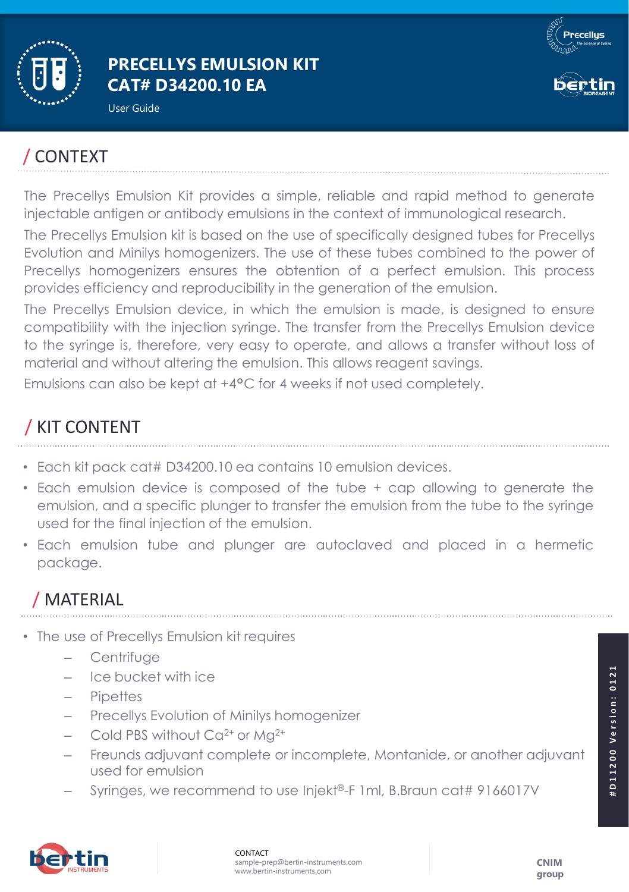

#### **PRECELLYS EMULSION KIT CAT# D34200.10 EA**

User Guide





# / CONTEXT

The Precellys Emulsion Kit provides a simple, reliable and rapid method to generate injectable antigen or antibody emulsions in the context of immunological research.

The Precellys Emulsion kit is based on the use of specifically designed tubes for Precellys Evolution and Minilys homogenizers. The use of these tubes combined to the power of Precellys homogenizers ensures the obtention of a perfect emulsion. This process provides efficiency and reproducibility in the generation of the emulsion.

The Precellys Emulsion device, in which the emulsion is made, is designed to ensure compatibility with the injection syringe. The transfer from the Precellys Emulsion device to the syringe is, therefore, very easy to operate, and allows a transfer without loss of material and without altering the emulsion. This allows reagent savings.

Emulsions can also be kept at +4°C for 4 weeks if not used completely.

# / KIT CONTENT

- Each kit pack cat# D34200.10 ea contains 10 emulsion devices.
- Each emulsion device is composed of the tube + cap allowing to generate the emulsion, and a specific plunger to transfer the emulsion from the tube to the syringe used for the final injection of the emulsion.
- Each emulsion tube and plunger are autoclaved and placed in a hermetic package.

# / MATERIAL

- The use of Precellys Emulsion kit requires
	- **Centrifuge**
	- Ice bucket with ice
	- Pipettes
	- Precellys Evolution of Minilys homogenizer
	- Cold PBS without  $Ca^{2+}$  or Mg<sup>2+</sup>
	- Freunds adjuvant complete or incomplete, Montanide, or another adjuvant used for emulsion
	- Syringes, we recommend to use Injekt®-F 1ml, B.Braun cat# 9166017V



#D11200 Version: 0121

D11200 Version: 0121